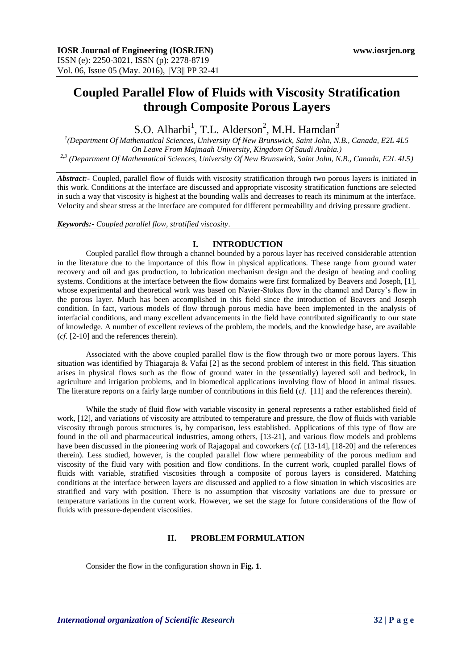# **Coupled Parallel Flow of Fluids with Viscosity Stratification through Composite Porous Layers**

S.O. Alharbi<sup>1</sup>, T.L. Alderson<sup>2</sup>, M.H. Hamdan<sup>3</sup>

*1 (Department Of Mathematical Sciences, University Of New Brunswick, Saint John, N.B., Canada, E2L 4L5 On Leave From Majmaah University, Kingdom Of Saudi Arabia.) 2,3 (Department Of Mathematical Sciences, University Of New Brunswick, Saint John, N.B., Canada, E2L 4L5)*

*Abstract:-* Coupled, parallel flow of fluids with viscosity stratification through two porous layers is initiated in this work. Conditions at the interface are discussed and appropriate viscosity stratification functions are selected in such a way that viscosity is highest at the bounding walls and decreases to reach its minimum at the interface. Velocity and shear stress at the interface are computed for different permeability and driving pressure gradient.

*Keywords:- Coupled parallel flow, stratified viscosity*.

## **I. INTRODUCTION**

Coupled parallel flow through a channel bounded by a porous layer has received considerable attention in the literature due to the importance of this flow in physical applications. These range from ground water recovery and oil and gas production, to lubrication mechanism design and the design of heating and cooling systems. Conditions at the interface between the flow domains were first formalized by Beavers and Joseph, [1], whose experimental and theoretical work was based on Navier-Stokes flow in the channel and Darcy's flow in the porous layer. Much has been accomplished in this field since the introduction of Beavers and Joseph condition. In fact, various models of flow through porous media have been implemented in the analysis of interfacial conditions, and many excellent advancements in the field have contributed significantly to our state of knowledge. A number of excellent reviews of the problem, the models, and the knowledge base, are available (*cf.* [2-10] and the references therein).

Associated with the above coupled parallel flow is the flow through two or more porous layers. This situation was identified by Thiagaraja & Vafai [2] as the second problem of interest in this field. This situation arises in physical flows such as the flow of ground water in the (essentially) layered soil and bedrock, in agriculture and irrigation problems, and in biomedical applications involving flow of blood in animal tissues. The literature reports on a fairly large number of contributions in this field (*cf.* [11] and the references therein).

While the study of fluid flow with variable viscosity in general represents a rather established field of work, [12], and variations of viscosity are attributed to temperature and pressure, the flow of fluids with variable viscosity through porous structures is, by comparison, less established. Applications of this type of flow are found in the oil and pharmaceutical industries, among others, [13-21], and various flow models and problems have been discussed in the pioneering work of Rajagopal and coworkers (*cf.* [13-14], [18-20] and the references therein). Less studied, however, is the coupled parallel flow where permeability of the porous medium and viscosity of the fluid vary with position and flow conditions. In the current work, coupled parallel flows of fluids with variable, stratified viscosities through a composite of porous layers is considered. Matching conditions at the interface between layers are discussed and applied to a flow situation in which viscosities are stratified and vary with position. There is no assumption that viscosity variations are due to pressure or temperature variations in the current work. However, we set the stage for future considerations of the flow of fluids with pressure-dependent viscosities.

# **II. PROBLEM FORMULATION**

Consider the flow in the configuration shown in **Fig. 1**.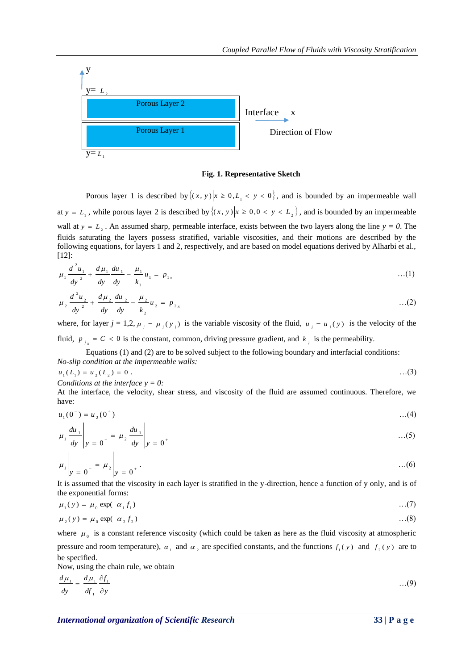

#### **Fig. 1. Representative Sketch**

Porous layer 1 is described by  $\{(x, y) | x \ge 0, L_1 < y < 0\}$ , and is bounded by an impermeable wall at  $y = L_1$ , while porous layer 2 is described by  $\{(x, y) | x \ge 0, 0 < y < L_2\}$ , and is bounded by an impermeable wall at  $y = L_2$ . An assumed sharp, permeable interface, exists between the two layers along the line  $y = 0$ . The fluids saturating the layers possess stratified, variable viscosities, and their motions are described by the following equations, for layers 1 and 2, respectively, and are based on model equations derived by Alharbi et al., [12]:

$$
\mu_1 \frac{d^2 u_1}{dy^2} + \frac{d \mu_1}{dy} \frac{du_1}{dy} - \frac{\mu_1}{k_1} u_1 = p_{1x} \tag{1}
$$

$$
\mu_2 \frac{d^2 u_2}{dy^2} + \frac{d \mu_2}{dy} \frac{du_2}{dy} - \frac{\mu_2}{k_2} u_2 = p_{2x}
$$
...(2)

where, for layer  $j = 1, 2, \mu_j = \mu_j(y_j)$  is the variable viscosity of the fluid,  $u_j = u_j(y)$  is the velocity of the fluid,  $p_{i_x} = C < 0$  is the constant, common, driving pressure gradient, and  $k_i$  is the permeability.

Equations (1) and (2) are to be solved subject to the following boundary and interfacial conditions: *No-slip condition at the impermeable walls:*

$$
u_1(L_1) = u_2(L_2) = 0.
$$
...(3)

*Conditions at the interface y = 0:* 

At the interface, the velocity, shear stress, and viscosity of the fluid are assumed continuous. Therefore, we have:

$$
u_1(0^-) = u_2(0^+) \tag{4}
$$

$$
\mu_1 \frac{du_1}{dy} \bigg| y = 0^{-} = \mu_2 \frac{du_1}{dy} \bigg| y = 0^{+} \qquad \qquad ...(5)
$$

$$
\mu_1 \bigg| y = 0^- = \mu_2 \bigg| y = 0^+ \cdot \dots (6)
$$

It is assumed that the viscosity in each layer is stratified in the y-direction, hence a function of y only, and is of the exponential forms:

$$
\mu_1(y) = \mu_0 \exp(-\alpha_1 f_1) \tag{7}
$$

$$
\mu_2(y) = \mu_0 \exp(-\alpha_2 f_2) \tag{8}
$$

where  $\mu_0$  is a constant reference viscosity (which could be taken as here as the fluid viscosity at atmospheric pressure and room temperature),  $a_1$  and  $a_2$  are specified constants, and the functions  $f_1(y)$  and  $f_2(y)$  are to be specified.

Now, using the chain rule, we obtain

$$
\frac{d\mu_1}{dy} = \frac{d\mu_1}{df_1} \frac{\partial f_1}{\partial y} \tag{9}
$$

*International organization of Scientific Research* 33 | P a g e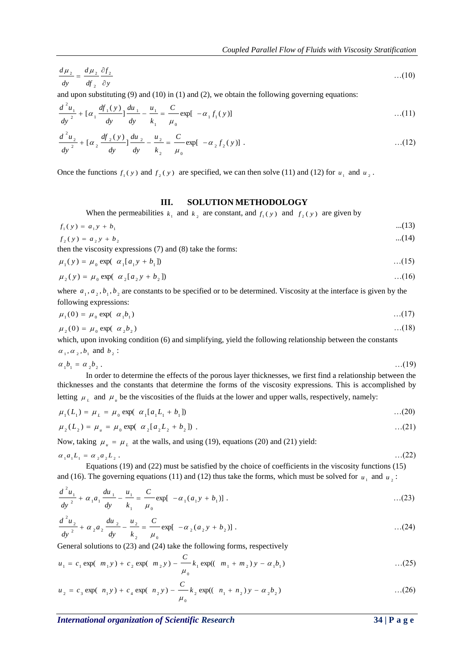$$
\frac{d\mu_{2}}{dy} = \frac{d\mu_{2}}{df_{2}} \frac{\partial f_{2}}{\partial y}
$$
...(10)

and upon substituting  $(9)$  and  $(10)$  in  $(1)$  and  $(2)$ , we obtain the following governing equations:

$$
\frac{d^2 u_1}{dy^2} + [\alpha_1 \frac{df_1(y)}{dy}]\frac{du_1}{dy} - \frac{u_1}{k_1} = \frac{C}{\mu_0} \exp[-\alpha_1 f_1(y)] \tag{11}
$$

$$
\frac{d^2 u_2}{dy^2} + \left[ \alpha_2 \frac{df_2(y)}{dy} \right] \frac{du_2}{dy} - \frac{u_2}{k_2} = \frac{C}{\mu_0} \exp[-\alpha_2 f_2(y)] \ . \tag{12}
$$

Once the functions  $f_1(y)$  and  $f_2(y)$  are specified, we can then solve (11) and (12) for  $u_1$  and  $u_2$ .

## **III. SOLUTION METHODOLOGY**

When the permeabilities  $k_1$  and  $k_2$  are constant, and  $f_1(y)$  and  $f_2(y)$  are given by

$$
f_1(y) = a_1 y + b_1 \tag{13}
$$

 $f_2(y) = a_2 y + b_2$  ...(14) then the viscosity expressions (7) and (8) take the forms:

$$
\mu_1(y) = \mu_0 \exp(-\alpha_1[a_1y + b_1]) \tag{15}
$$

$$
\mu_2(y) = \mu_0 \exp(-\alpha_2 [a_2 y + b_2]) \tag{16}
$$

where  $a_1, a_2, b_1, b_2$  are constants to be specified or to be determined. Viscosity at the interface is given by the following expressions:

$$
\mu_1(0) = \mu_0 \exp(-\alpha_1 b_1) \tag{17}
$$

$$
\mu_2(0) = \mu_0 \exp(-\alpha_2 b_2) \tag{18}
$$

which, upon invoking condition (6) and simplifying, yield the following relationship between the constants  $\alpha_1, \alpha_2, b_1$  and  $b_2$ :

$$
\alpha_1 b_1 = \alpha_2 b_2 \,. \tag{19}
$$

In order to determine the effects of the porous layer thicknesses, we first find a relationship between the thicknesses and the constants that determine the forms of the viscosity expressions. This is accomplished by letting  $\mu_L$  and  $\mu_u$  be the viscosities of the fluids at the lower and upper walls, respectively, namely:

$$
\mu_1(L_1) = \mu_L = \mu_0 \exp(-\alpha_1 [a_1 L_1 + b_1]) \tag{20}
$$

$$
\mu_2(L_2) = \mu_u = \mu_0 \exp(-\alpha_2 [a_2 L_2 + b_2]) \tag{21}
$$

Now, taking  $\mu_{\mu} = \mu_{\mu}$  at the walls, and using (19), equations (20) and (21) yield:

$$
\alpha_1 a_1 L_1 = \alpha_2 a_2 L_2 \,. \tag{22}
$$

Equations (19) and (22) must be satisfied by the choice of coefficients in the viscosity functions (15) and (16). The governing equations (11) and (12) thus take the forms, which must be solved for  $u_1$  and  $u_2$ :

$$
\frac{d^2 u_1}{dy^2} + \alpha_1 a_1 \frac{du_1}{dy} - \frac{u_1}{k_1} = \frac{C}{\mu_0} \exp[-\alpha_1 (a_1 y + b_1)] \ . \tag{23}
$$

$$
\frac{d^2 u_2}{dy^2} + \alpha_2 a_2 \frac{du_2}{dy} - \frac{u_2}{k_2} = \frac{C}{\mu_0} \exp[-\alpha_2 (a_2 y + b_2)] \ . \tag{24}
$$

General solutions to (23) and (24) take the following forms, respectively

$$
u_1 = c_1 \exp(-m_1 y) + c_2 \exp(-m_2 y) - \frac{C}{\mu_0} k_1 \exp((-m_1 + m_2) y - \alpha_1 b_1) \qquad \qquad \dots (25)
$$

$$
u_2 = c_3 \exp(-n_1 y) + c_4 \exp(-n_2 y) - \frac{C}{\mu_0} k_2 \exp((-n_1 + n_2) y - \alpha_2 b_2) \quad \dots (26)
$$

*International organization of Scientific Research* **34 | P a g e**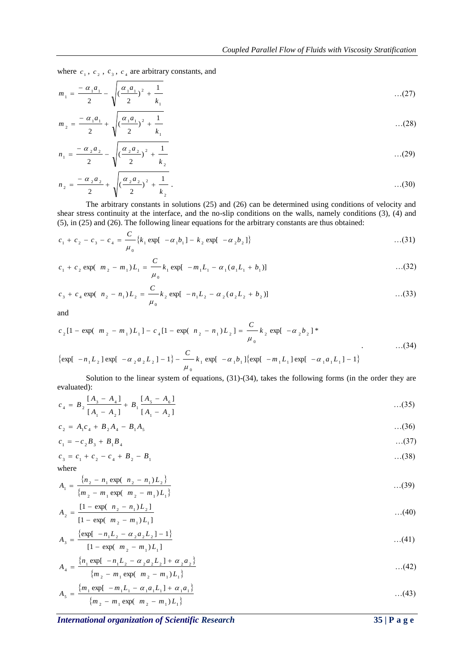where  $c_1$ ,  $c_2$ ,  $c_3$ ,  $c_4$  are arbitrary constants, and

$$
m_1 = \frac{-\alpha_1 a_1}{2} - \sqrt{\left(\frac{\alpha_1 a_1}{2}\right)^2 + \frac{1}{k_1}} \tag{27}
$$

$$
m_2 = \frac{-\alpha_1 a_1}{2} + \sqrt{\left(\frac{\alpha_1 a_1}{2}\right)^2 + \frac{1}{k_1}}
$$
...(28)

$$
n_1 = \frac{-\alpha_2 a_2}{2} - \sqrt{\left(\frac{\alpha_2 a_2}{2}\right)^2 + \frac{1}{k_2}}
$$
...(29)

$$
n_2 = \frac{-\alpha_2 a_2}{2} + \sqrt{\left(\frac{\alpha_2 a_2}{2}\right)^2 + \frac{1}{k_2}}.
$$

The arbitrary constants in solutions (25) and (26) can be determined using conditions of velocity and shear stress continuity at the interface, and the no-slip conditions on the walls, namely conditions (3), (4) and (5), in (25) and (26). The following linear equations for the arbitrary constants are thus obtained:

$$
c_1 + c_2 - c_3 - c_4 = \frac{C}{\mu_0} \{ k_1 \exp[-\alpha_1 b_1] - k_2 \exp[-\alpha_2 b_2] \}
$$
...(31)

$$
c_1 + c_2 \exp(-m_2 - m_1)L_1 = \frac{C}{\mu_0} k_1 \exp[-m_1 L_1 - \alpha_1 (a_1 L_1 + b_1)] \tag{32}
$$

$$
c_3 + c_4 \exp(-n_2 - n_1)L_2 = \frac{C}{\mu_0} k_2 \exp[-n_1 L_2 - \alpha_2 (a_2 L_2 + b_2)] \tag{33}
$$

and

$$
c_2[1 - \exp(-m_2 - m_1)L_1] - c_4[1 - \exp(-n_2 - n_1)L_2] = \frac{C}{\mu_0} k_2 \exp[-\alpha_2 b_2]^*
$$
...(34)

$$
\{\exp[-n_1L_2] \exp[-\alpha_2a_2L_2] - 1\} - \frac{C}{\mu_0} k_1 \exp[-\alpha_1b_1] \{\exp[-m_1L_1] \exp[-\alpha_1a_1L_1] - 1\}
$$

Solution to the linear system of equations, (31)-(34), takes the following forms (in the order they are evaluated):

$$
c_4 = B_2 \frac{[A_3 - A_4]}{[A_1 - A_2]} + B_1 \frac{[A_5 - A_6]}{[A_1 - A_2]}
$$
...(35)

$$
c_2 = A_1 c_4 + B_2 A_4 - B_1 A_5 \tag{36}
$$

$$
c_1 = -c_2 B_3 + B_1 B_4 \tag{37}
$$

$$
c_3 = c_1 + c_2 - c_4 + B_2 - B_1 \tag{38}
$$

where  

$$
A_1 = \frac{\{n_2 - n_1 \exp(-n_2 - n_1)L_2\}}{\{m_2 - m_1 \exp(-m_2 - m_1)L_1\}}
$$
...(39)

$$
A_2 = \frac{[1 - \exp((n_2 - n_1)L_2)]}{[1 - \exp((m_2 - m_1)L_1)]}
$$
...(40)

$$
A_3 = \frac{\{\exp[-n_1L_2 - \alpha_2a_2L_2] - 1\}}{[1 - \exp(-m_2 - m_1)L_1]}
$$
...(41)

$$
A_4 = \frac{\{n_1 \exp[-n_1 L_2 - \alpha_2 a_2 L_2] + \alpha_2 a_2\}}{\{m_2 - m_1 \exp(-m_2 - m_1) L_1\}} \tag{42}
$$

$$
A_{5} = \frac{\{m_{1} \exp[-m_{1}L_{1} - \alpha_{1}a_{1}L_{1}] + \alpha_{1}a_{1}\}}{\{m_{2} - m_{1} \exp(-m_{2} - m_{1})L_{1}\}}
$$
...(43)

*International organization of Scientific Research* 35 | P a g e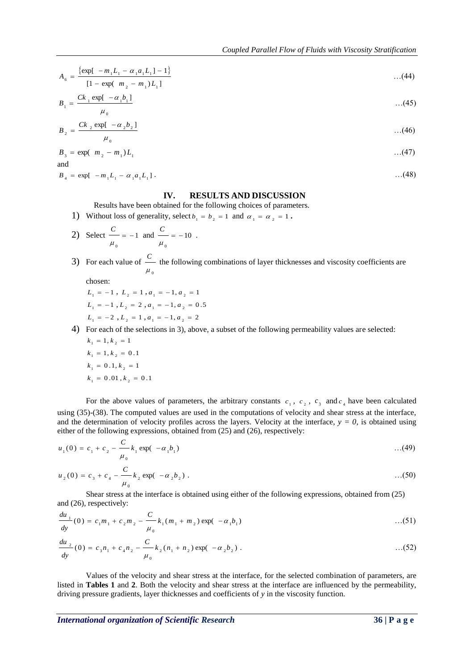$$
A_6 = \frac{\{\exp[-m_1L_1 - \alpha_1a_1L_1] - 1\}}{[1 - \exp(-m_2 - m_1)L_1]}
$$
...(44)

$$
B_1 = \frac{Ck_1 \exp[-\alpha_1 b_1]}{(45)}
$$
...(45)

$$
B_{2} = \frac{Ck_{2} \exp[-\alpha_{2}b_{2}]}{(46)}
$$
...(46)

$$
\mu_0
$$
 ... (10)  

$$
B_3 = \exp(-m_2 - m_1)L_1
$$
 ... (47)

$$
B_4 = \exp[-m_1 L_1 - \alpha_1 a_1 L_1]. \tag{48}
$$

## **IV. RESULTS AND DISCUSSION**

Results have been obtained for the following choices of parameters.

.

1) Without loss of generality, select  $b_1 = b_2 = 1$  and  $\alpha_1 = \alpha_2 = 1$ .

2) Select 
$$
\frac{C}{\mu_0} = -1
$$
 and  $\frac{C}{\mu_0} = -10$ 

3) For each value of  $\mathbf{0}$ μ *C* the following combinations of layer thicknesses and viscosity coefficients are

chosen:

and

- $L_1 = -1$ ,  $L_2 = 1$ ,  $a_1 = -1$ ,  $a_2 = 1$  $L_1 = -1$ ,  $L_2 = 2$ ,  $a_1 = -1$ ,  $a_2 = 0.5$  $L_1 = -2$ ,  $L_2 = 1$ ,  $a_1 = -1$ ,  $a_2 = 2$
- 4) For each of the selections in 3), above, a subset of the following permeability values are selected:  $k_1 = 1, k_2 = 1$

$$
k_1 = 1, k_2 = 0.1
$$
  
\n
$$
k_1 = 0.1, k_2 = 1
$$
  
\n
$$
k_1 = 0.01, k_2 = 0.1
$$

 $A_4 = \frac{16\pi i}{(1-\alpha)(1-\alpha)(\alpha-\alpha)} B_1 = \frac{6\pi i}{(1-\alpha)(\alpha-\alpha)(\alpha-\alpha)}$ <br>  $B_1 = \frac{Ck_1 \cos(\alpha-\alpha)\beta_1}{\beta_1}$ <br>  $B_2 = \frac{Ck_2 \cos(\alpha-\alpha)\beta_1}{\beta_2}$ <br>  $B_3 = \frac{Ck_1 \cos(\alpha-\alpha)\beta_1}{\beta_3}$ <br>  $B_4 = \frac{1}{(1-\alpha)(\alpha-\alpha)(\alpha-\alpha)}$ <br> **INTERNATIVE AND DISCURSSION**<br> **INTERNATIV** For the above values of parameters, the arbitrary constants  $c_1$ ,  $c_2$ ,  $c_3$  and  $c_4$  have been calculated using (35)-(38). The computed values are used in the computations of velocity and shear stress at the interface, and the determination of velocity profiles across the layers. Velocity at the interface,  $y = 0$ , is obtained using either of the following expressions, obtained from (25) and (26), respectively:

$$
u_1(0) = c_1 + c_2 - \frac{C}{\mu_0} k_1 \exp(-\alpha_1 b_1) \tag{49}
$$

$$
u_2(0) = c_3 + c_4 - \frac{C}{\mu_0} k_2 \exp(-\alpha_2 b_2) \ . \tag{50}
$$

Shear stress at the interface is obtained using either of the following expressions, obtained from (25) and (26), respectively:

$$
\frac{du_1}{dy}(0) = c_1 m_1 + c_2 m_2 - \frac{C}{\mu_0} k_1 (m_1 + m_2) \exp(-\alpha_1 b_1) \qquad \qquad \dots (51)
$$

$$
\frac{du_2}{dy}(0) = c_3 n_1 + c_4 n_2 - \frac{C}{\mu_0} k_2 (n_1 + n_2) \exp(-\alpha_2 b_2).
$$
...(52)

Values of the velocity and shear stress at the interface, for the selected combination of parameters, are listed in **Tables 1** and **2**. Both the velocity and shear stress at the interface are influenced by the permeability, driving pressure gradients, layer thicknesses and coefficients of *y* in the viscosity function.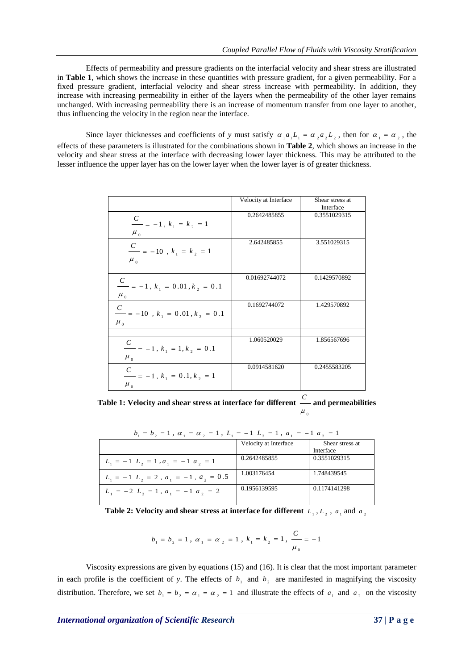Effects of permeability and pressure gradients on the interfacial velocity and shear stress are illustrated in **Table 1**, which shows the increase in these quantities with pressure gradient, for a given permeability. For a fixed pressure gradient, interfacial velocity and shear stress increase with permeability. In addition, they increase with increasing permeability in either of the layers when the permeability of the other layer remains unchanged. With increasing permeability there is an increase of momentum transfer from one layer to another, thus influencing the velocity in the region near the interface.

Since layer thicknesses and coefficients of *y* must satisfy  $\alpha_1 a_1 L_1 = \alpha_2 a_2 L_2$ , then for  $\alpha_1 = \alpha_2$ , the effects of these parameters is illustrated for the combinations shown in **Table 2**, which shows an increase in the velocity and shear stress at the interface with decreasing lower layer thickness. This may be attributed to the lesser influence the upper layer has on the lower layer when the lower layer is of greater thickness.

|                                                                               | Velocity at Interface | Shear stress at<br>Interface |
|-------------------------------------------------------------------------------|-----------------------|------------------------------|
| $\frac{C}{\sqrt{C}}$ = -1, $k_1 = k_2 = 1$<br>$\mu_{0}$                       | 0.2642485855          | 0.3551029315                 |
| $\frac{C}{\hskip10pt\text{---}}=-10$ , $k_{_1}\,=\,k_{_2}\,=\,1$<br>$\mu_{0}$ | 2.642485855           | 3.551029315                  |
|                                                                               |                       |                              |
| $\frac{C}{1} = -1 \, , \, k_{_1} = 0.01 \, , k_{_2} = 0.1$<br>$\mu_{0}$       | 0.01692744072         | 0.1429570892                 |
| $\frac{C}{1}=-10$ , $k_{_1}=0.01$ , $k_{_2}=0.1$<br>$\mu_{0}$                 | 0.1692744072          | 1.429570892                  |
|                                                                               |                       |                              |
| $\frac{C}{1}$ = -1, $k_1$ = 1, $k_2$ = 0.1<br>$\mu_{0}$                       | 1.060520029           | 1.856567696                  |
| $\frac{C}{1} = -1 \, , \, k_{_1} = 0 \, .1 \, , k_{_2} = 1$<br>$\mu_{0}$      | 0.0914581620          | 0.2455583205                 |

**Table 1: Velocity and shear stress at interface for different**   $\mu_{_0}$ *C* **and permeabilities**

| $b_1 = b_2 = 1$ , $\alpha_1 = \alpha_2 = 1$ , $L_1 = -1$ , $L_2 = 1$ , $a_1 = -1$ , $a_2 = 1$ |                       |                 |  |
|-----------------------------------------------------------------------------------------------|-----------------------|-----------------|--|
|                                                                                               | Velocity at Interface | Shear stress at |  |
|                                                                                               |                       | Interface       |  |
| $L_1 = -1$ $L_2 = 1$ , $a_1 = -1$ $a_2 = 1$                                                   | 0.2642485855          | 0.3551029315    |  |
| $L_1 = -1$ , $L_2 = 2$ , $a_1 = -1$ , $a_2 = 0.5$                                             | 1.003176454           | 1.748439545     |  |
| $L_1 = -2 L_2 = 1$ , $a_1 = -1 a_2 = 2$                                                       | 0.1956139595          | 0.1174141298    |  |

**Table 2:** Velocity and shear stress at interface for different  $L_1, L_2, a_1$  and  $a_2$ 

$$
b_1 = b_2 = 1 , \alpha_1 = \alpha_2 = 1 , k_1 = k_2 = 1 , \frac{C}{\mu_0} = -1
$$

Viscosity expressions are given by equations (15) and (16). It is clear that the most important parameter in each profile is the coefficient of y. The effects of  $b_1$  and  $b_2$  are manifested in magnifying the viscosity distribution. Therefore, we set  $b_1 = b_2 = a_1 = a_2 = 1$  and illustrate the effects of  $a_1$  and  $a_2$  on the viscosity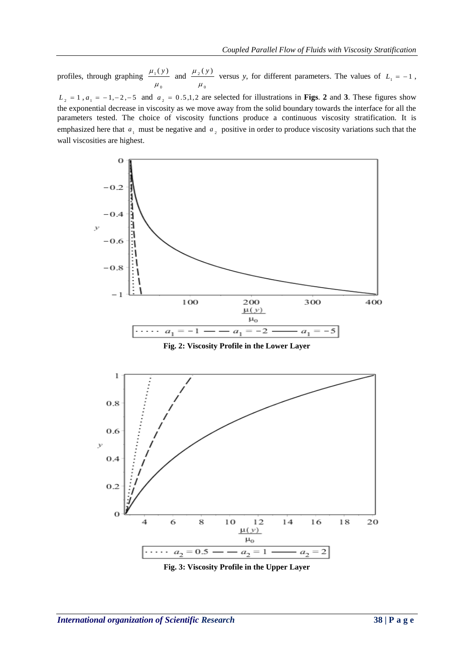profiles, through graphing  $\mathbf{0}$  $_{1}(y)$  $\mu$  $\frac{\mu_1(y)}{y}$  and  $\mathbf 0$  $2(y)$  $\mu$  $\mu_2(y)$  versus *y*, for different parameters. The values of  $L_1 = -1$ ,

 $L_2 = 1$ ,  $a_1 = -1, -2, -5$  and  $a_2 = 0.5, 1, 2$  are selected for illustrations in **Figs. 2** and 3. These figures show the exponential decrease in viscosity as we move away from the solid boundary towards the interface for all the parameters tested. The choice of viscosity functions produce a continuous viscosity stratification. It is emphasized here that  $a_1$  must be negative and  $a_2$  positive in order to produce viscosity variations such that the wall viscosities are highest.



**Fig. 3: Viscosity Profile in the Upper Layer**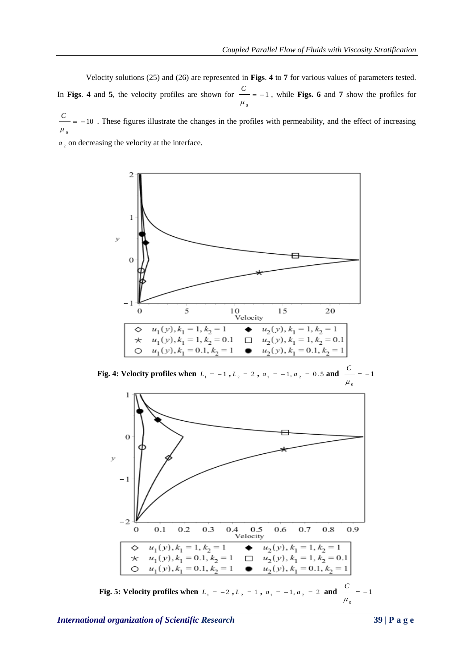Velocity solutions (25) and (26) are represented in **Figs**. **4** to **7** for various values of parameters tested. In **Figs. 4** and 5, the velocity profiles are shown for  $\overline{\phantom{m}} = -1$  $\mathbf{0}$  $= \mu$  $\frac{C}{C}$  = -1, while **Figs.** 6 and 7 show the profiles for

10  $\mathbf{0}$  $=$   $\mu$  $\frac{C}{m}$  = -10. These figures illustrate the changes in the profiles with permeability, and the effect of increasing

 $a<sub>2</sub>$  on decreasing the velocity at the interface.





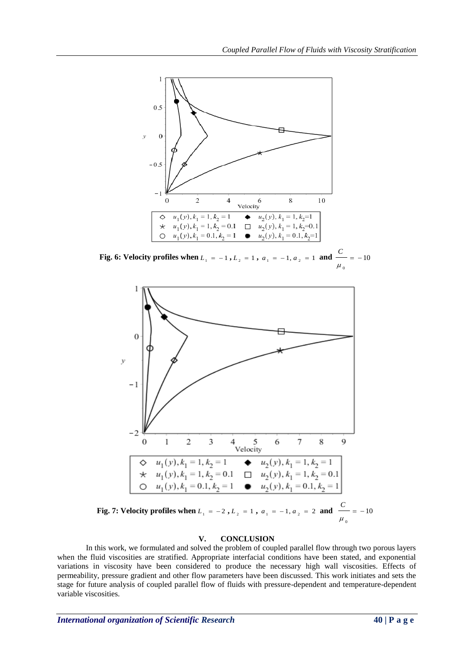

**Fig. 6: Velocity profiles when**  $L_1 = -1$ ,  $L_2 = 1$ ,  $a_1 = -1$ ,  $a_2 = 1$  and  $\frac{1}{2} = -10$  $\mathbf{0}$  $= \mu$ *C*



## **V. CONCLUSION**

In this work, we formulated and solved the problem of coupled parallel flow through two porous layers when the fluid viscosities are stratified. Appropriate interfacial conditions have been stated, and exponential variations in viscosity have been considered to produce the necessary high wall viscosities. Effects of permeability, pressure gradient and other flow parameters have been discussed. This work initiates and sets the stage for future analysis of coupled parallel flow of fluids with pressure-dependent and temperature-dependent variable viscosities.